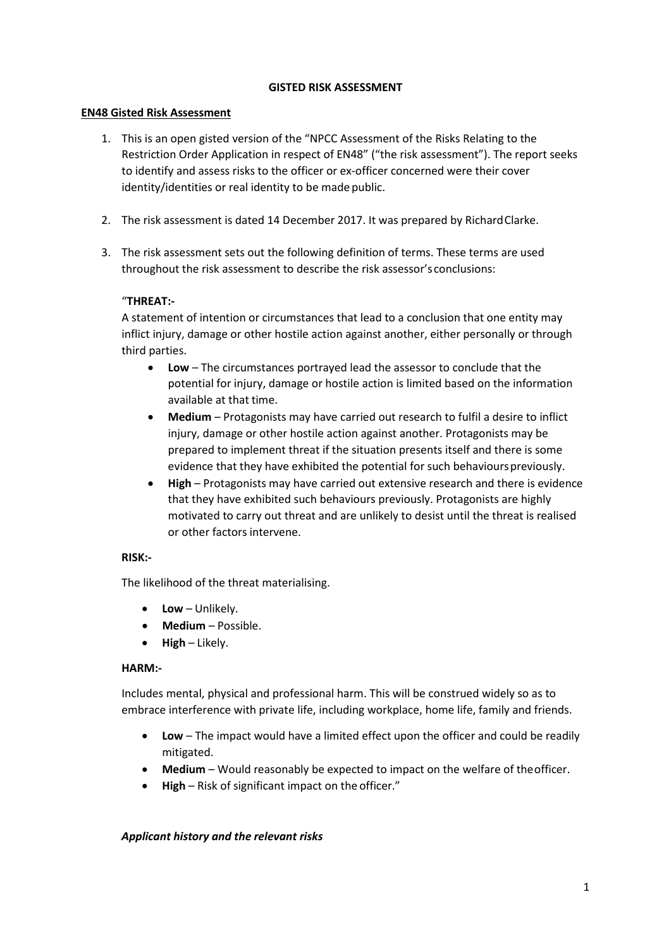#### **GISTED RISK ASSESSMENT**

#### **EN48 Gisted Risk Assessment**

- 1. This is an open gisted version of the "NPCC Assessment of the Risks Relating to the Restriction Order Application in respect of EN48" ("the risk assessment"). The report seeks to identify and assess risks to the officer or ex-officer concerned were their cover identity/identities or real identity to be made public.
- 2. The risk assessment is dated 14 December 2017. It was prepared by RichardClarke.
- 3. The risk assessment sets out the following definition of terms. These terms are used throughout the risk assessment to describe the risk assessor's conclusions:

## "**THREAT:-**

A statement of intention or circumstances that lead to a conclusion that one entity may inflict injury, damage or other hostile action against another, either personally or through third parties.

- **Low**  The circumstances portrayed lead the assessor to conclude that the potential for injury, damage or hostile action is limited based on the information available at that time.
- **Medium**  Protagonists may have carried out research to fulfil a desire to inflict injury, damage or other hostile action against another. Protagonists may be prepared to implement threat if the situation presents itself and there is some evidence that they have exhibited the potential for such behaviours previously.
- **High**  Protagonists may have carried out extensive research and there is evidence that they have exhibited such behaviours previously. Protagonists are highly motivated to carry out threat and are unlikely to desist until the threat is realised or other factors intervene.

## **RISK:-**

The likelihood of the threat materialising.

- **Low**  Unlikely.
- **Medium**  Possible.
- **High**  Likely.

## **HARM:-**

Includes mental, physical and professional harm. This will be construed widely so as to embrace interference with private life, including workplace, home life, family and friends.

- **Low**  The impact would have a limited effect upon the officer and could be readily mitigated.
- **Medium**  Would reasonably be expected to impact on the welfare of theofficer.
- **High**  Risk of significant impact on the officer."

## *Applicant history and the relevant risks*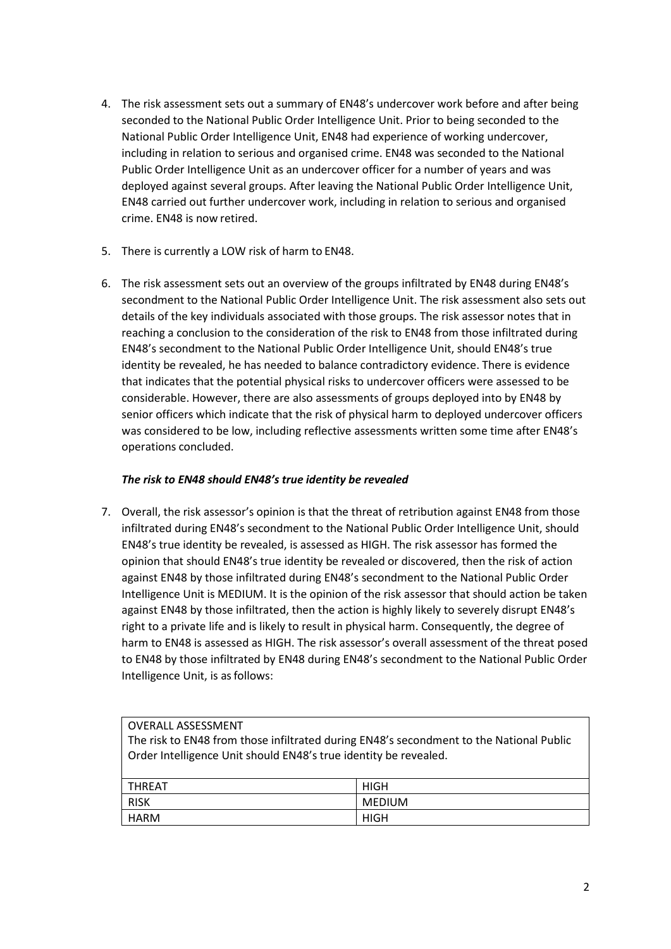- 4. The risk assessment sets out a summary of EN48's undercover work before and after being seconded to the National Public Order Intelligence Unit. Prior to being seconded to the National Public Order Intelligence Unit, EN48 had experience of working undercover, including in relation to serious and organised crime. EN48 was seconded to the National Public Order Intelligence Unit as an undercover officer for a number of years and was deployed against several groups. After leaving the National Public Order Intelligence Unit, EN48 carried out further undercover work, including in relation to serious and organised crime. EN48 is now retired.
- 5. There is currently a LOW risk of harm to EN48.
- 6. The risk assessment sets out an overview of the groups infiltrated by EN48 during EN48's secondment to the National Public Order Intelligence Unit. The risk assessment also sets out details of the key individuals associated with those groups. The risk assessor notes that in reaching a conclusion to the consideration of the risk to EN48 from those infiltrated during EN48's secondment to the National Public Order Intelligence Unit, should EN48's true identity be revealed, he has needed to balance contradictory evidence. There is evidence that indicates that the potential physical risks to undercover officers were assessed to be considerable. However, there are also assessments of groups deployed into by EN48 by senior officers which indicate that the risk of physical harm to deployed undercover officers was considered to be low, including reflective assessments written some time after EN48's operations concluded.

# *The risk to EN48 should EN48's true identity be revealed*

7. Overall, the risk assessor's opinion is that the threat of retribution against EN48 from those infiltrated during EN48's secondment to the National Public Order Intelligence Unit, should EN48's true identity be revealed, is assessed as HIGH. The risk assessor has formed the opinion that should EN48's true identity be revealed or discovered, then the risk of action against EN48 by those infiltrated during EN48's secondment to the National Public Order Intelligence Unit is MEDIUM. It is the opinion of the risk assessor that should action be taken against EN48 by those infiltrated, then the action is highly likely to severely disrupt EN48's right to a private life and is likely to result in physical harm. Consequently, the degree of harm to EN48 is assessed as HIGH. The risk assessor's overall assessment of the threat posed to EN48 by those infiltrated by EN48 during EN48's secondment to the National Public Order Intelligence Unit, is as follows:

## OVERALL ASSESSMENT

The risk to EN48 from those infiltrated during EN48's secondment to the National Public Order Intelligence Unit should EN48's true identity be revealed.

| THREAT | <b>HIGH</b>   |
|--------|---------------|
| RISK   | <b>MEDIUM</b> |
| HARM   | <b>HIGH</b>   |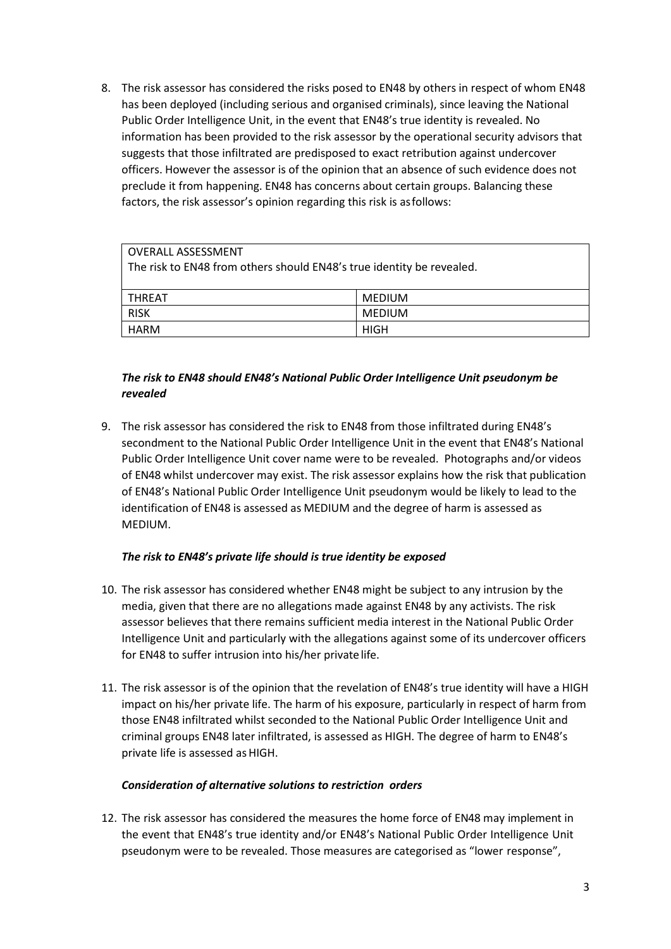8. The risk assessor has considered the risks posed to EN48 by others in respect of whom EN48 has been deployed (including serious and organised criminals), since leaving the National Public Order Intelligence Unit, in the event that EN48's true identity is revealed. No information has been provided to the risk assessor by the operational security advisors that suggests that those infiltrated are predisposed to exact retribution against undercover officers. However the assessor is of the opinion that an absence of such evidence does not preclude it from happening. EN48 has concerns about certain groups. Balancing these factors, the risk assessor's opinion regarding this risk is asfollows:

| OVERALL ASSESSMENT                                                    |               |  |
|-----------------------------------------------------------------------|---------------|--|
| The risk to EN48 from others should EN48's true identity be revealed. |               |  |
|                                                                       |               |  |
| l THREAT                                                              | <b>MEDIUM</b> |  |
| <b>RISK</b>                                                           | <b>MEDIUM</b> |  |
| HARM                                                                  | HIGH          |  |

# *The risk to EN48 should EN48's National Public Order Intelligence Unit pseudonym be revealed*

9. The risk assessor has considered the risk to EN48 from those infiltrated during EN48's secondment to the National Public Order Intelligence Unit in the event that EN48's National Public Order Intelligence Unit cover name were to be revealed. Photographs and/or videos of EN48 whilst undercover may exist. The risk assessor explains how the risk that publication of EN48's National Public Order Intelligence Unit pseudonym would be likely to lead to the identification of EN48 is assessed as MEDIUM and the degree of harm is assessed as MEDIUM.

## *The risk to EN48's private life should is true identity be exposed*

- 10. The risk assessor has considered whether EN48 might be subject to any intrusion by the media, given that there are no allegations made against EN48 by any activists. The risk assessor believes that there remains sufficient media interest in the National Public Order Intelligence Unit and particularly with the allegations against some of its undercover officers for EN48 to suffer intrusion into his/her private life.
- 11. The risk assessor is of the opinion that the revelation of EN48's true identity will have a HIGH impact on his/her private life. The harm of his exposure, particularly in respect of harm from those EN48 infiltrated whilst seconded to the National Public Order Intelligence Unit and criminal groups EN48 later infiltrated, is assessed as HIGH. The degree of harm to EN48's private life is assessed as HIGH.

## *Consideration of alternative solutions to restriction orders*

12. The risk assessor has considered the measures the home force of EN48 may implement in the event that EN48's true identity and/or EN48's National Public Order Intelligence Unit pseudonym were to be revealed. Those measures are categorised as "lower response",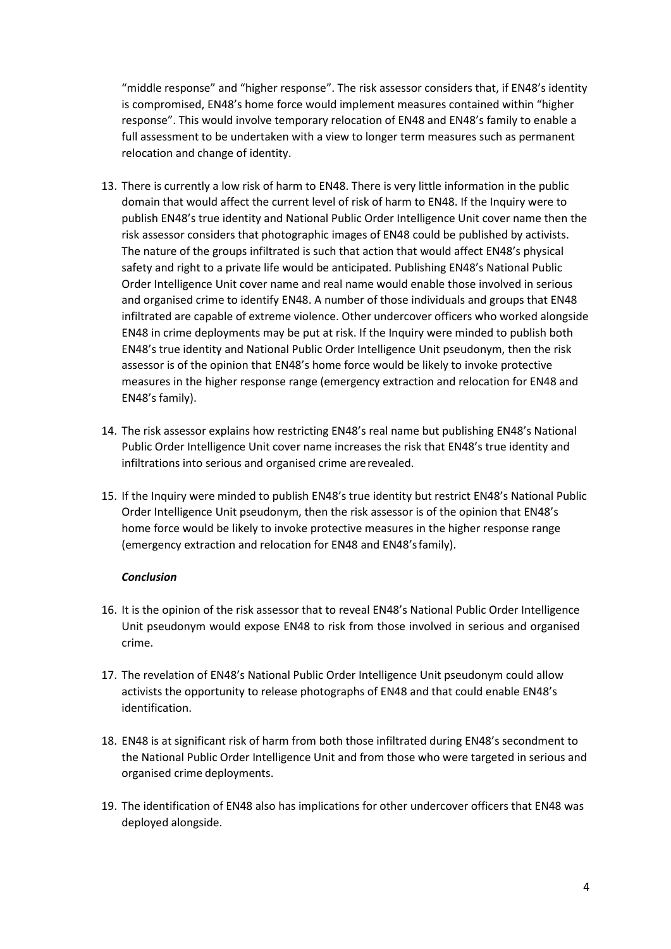"middle response" and "higher response". The risk assessor considers that, if EN48's identity is compromised, EN48's home force would implement measures contained within "higher response". This would involve temporary relocation of EN48 and EN48's family to enable a full assessment to be undertaken with a view to longer term measures such as permanent relocation and change of identity.

- 13. There is currently a low risk of harm to EN48. There is very little information in the public domain that would affect the current level of risk of harm to EN48. If the Inquiry were to publish EN48's true identity and National Public Order Intelligence Unit cover name then the risk assessor considers that photographic images of EN48 could be published by activists. The nature of the groups infiltrated is such that action that would affect EN48's physical safety and right to a private life would be anticipated. Publishing EN48's National Public Order Intelligence Unit cover name and real name would enable those involved in serious and organised crime to identify EN48. A number of those individuals and groups that EN48 infiltrated are capable of extreme violence. Other undercover officers who worked alongside EN48 in crime deployments may be put at risk. If the Inquiry were minded to publish both EN48's true identity and National Public Order Intelligence Unit pseudonym, then the risk assessor is of the opinion that EN48's home force would be likely to invoke protective measures in the higher response range (emergency extraction and relocation for EN48 and EN48's family).
- 14. The risk assessor explains how restricting EN48's real name but publishing EN48's National Public Order Intelligence Unit cover name increases the risk that EN48's true identity and infiltrations into serious and organised crime arerevealed.
- 15. If the Inquiry were minded to publish EN48's true identity but restrict EN48's National Public Order Intelligence Unit pseudonym, then the risk assessor is of the opinion that EN48's home force would be likely to invoke protective measures in the higher response range (emergency extraction and relocation for EN48 and EN48'sfamily).

#### *Conclusion*

- 16. It is the opinion of the risk assessor that to reveal EN48's National Public Order Intelligence Unit pseudonym would expose EN48 to risk from those involved in serious and organised crime.
- 17. The revelation of EN48's National Public Order Intelligence Unit pseudonym could allow activists the opportunity to release photographs of EN48 and that could enable EN48's identification.
- 18. EN48 is at significant risk of harm from both those infiltrated during EN48's secondment to the National Public Order Intelligence Unit and from those who were targeted in serious and organised crime deployments.
- 19. The identification of EN48 also has implications for other undercover officers that EN48 was deployed alongside.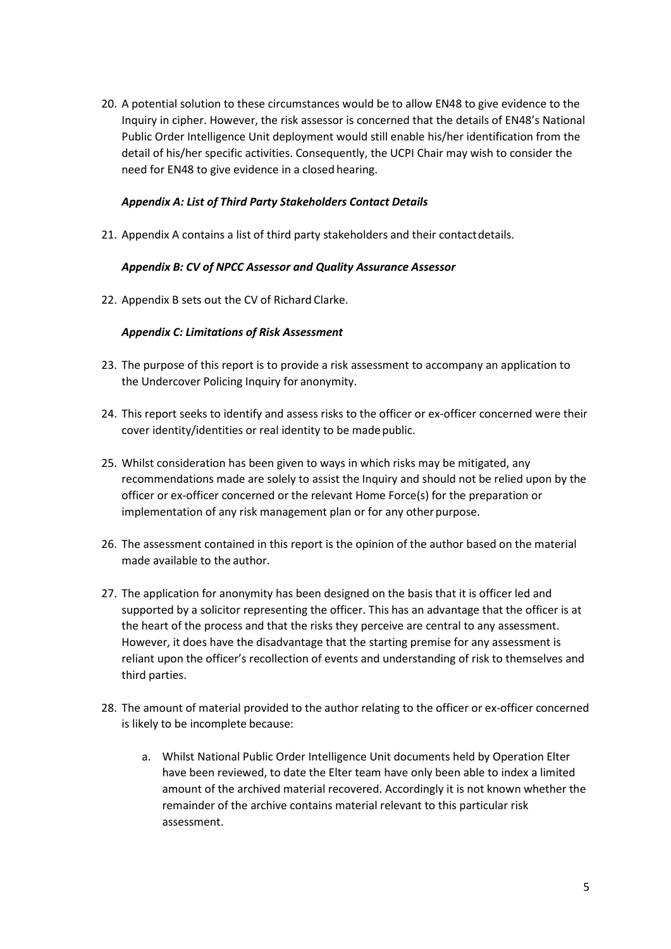20. A potential solution to these circumstances would be to allow EN48 to give evidence to the Inquiry in cipher. However, the risk assessor is concerned that the details of EN48's National Public Order Intelligence Unit deployment would still enable his/her identification from the detail of his/her specific activities. Consequently, the UCPI Chair may wish to consider the need for EN48 to give evidence in a closed hearing.

#### *Appendix A: List of Third Party Stakeholders Contact Details*

21. Appendix A contains a list of third party stakeholders and their contactdetails.

#### *Appendix B: CV of NPCC Assessor and Quality Assurance Assessor*

22. Appendix B sets out the CV of Richard Clarke.

#### *Appendix C: Limitations of Risk Assessment*

- 23. The purpose of this report is to provide a risk assessment to accompany an application to the Undercover Policing Inquiry for anonymity.
- 24. This report seeks to identify and assess risks to the officer or ex-officer concerned were their cover identity/identities or real identity to be made public.
- 25. Whilst consideration has been given to ways in which risks may be mitigated, any recommendations made are solely to assist the Inquiry and should not be relied upon by the officer or ex-officer concerned or the relevant Home Force(s) for the preparation or implementation of any risk management plan or for any other purpose.
- 26. The assessment contained in this report is the opinion of the author based on the material made available to the author.
- 27. The application for anonymity has been designed on the basis that it is officer led and supported by a solicitor representing the officer. This has an advantage that the officer is at the heart of the process and that the risks they perceive are central to any assessment. However, it does have the disadvantage that the starting premise for any assessment is reliant upon the officer's recollection of events and understanding of risk to themselves and third parties.
- 28. The amount of material provided to the author relating to the officer or ex-officer concerned is likely to be incomplete because:
	- a. Whilst National Public Order Intelligence Unit documents held by Operation Elter have been reviewed, to date the Elter team have only been able to index a limited amount of the archived material recovered. Accordingly it is not known whether the remainder of the archive contains material relevant to this particular risk assessment.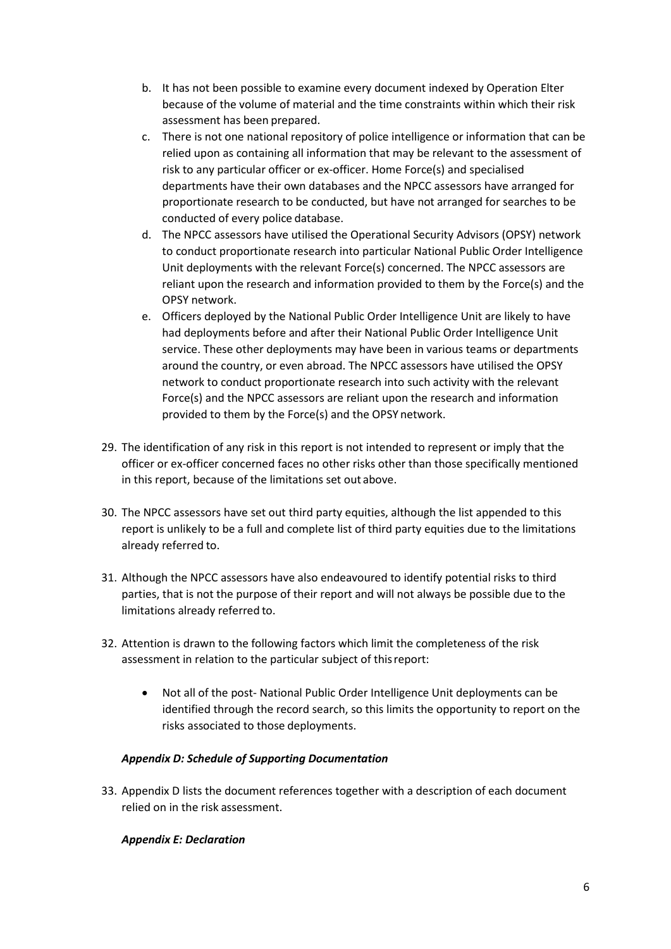- b. It has not been possible to examine every document indexed by Operation Elter because of the volume of material and the time constraints within which their risk assessment has been prepared.
- c. There is not one national repository of police intelligence or information that can be relied upon as containing all information that may be relevant to the assessment of risk to any particular officer or ex-officer. Home Force(s) and specialised departments have their own databases and the NPCC assessors have arranged for proportionate research to be conducted, but have not arranged for searches to be conducted of every police database.
- d. The NPCC assessors have utilised the Operational Security Advisors (OPSY) network to conduct proportionate research into particular National Public Order Intelligence Unit deployments with the relevant Force(s) concerned. The NPCC assessors are reliant upon the research and information provided to them by the Force(s) and the OPSY network.
- e. Officers deployed by the National Public Order Intelligence Unit are likely to have had deployments before and after their National Public Order Intelligence Unit service. These other deployments may have been in various teams or departments around the country, or even abroad. The NPCC assessors have utilised the OPSY network to conduct proportionate research into such activity with the relevant Force(s) and the NPCC assessors are reliant upon the research and information provided to them by the Force(s) and the OPSY network.
- 29. The identification of any risk in this report is not intended to represent or imply that the officer or ex-officer concerned faces no other risks other than those specifically mentioned in this report, because of the limitations set out above.
- 30. The NPCC assessors have set out third party equities, although the list appended to this report is unlikely to be a full and complete list of third party equities due to the limitations already referred to.
- 31. Although the NPCC assessors have also endeavoured to identify potential risks to third parties, that is not the purpose of their report and will not always be possible due to the limitations already referred to.
- 32. Attention is drawn to the following factors which limit the completeness of the risk assessment in relation to the particular subject of thisreport:
	- Not all of the post- National Public Order Intelligence Unit deployments can be identified through the record search, so this limits the opportunity to report on the risks associated to those deployments.

## *Appendix D: Schedule of Supporting Documentation*

33. Appendix D lists the document references together with a description of each document relied on in the risk assessment.

## *Appendix E: Declaration*